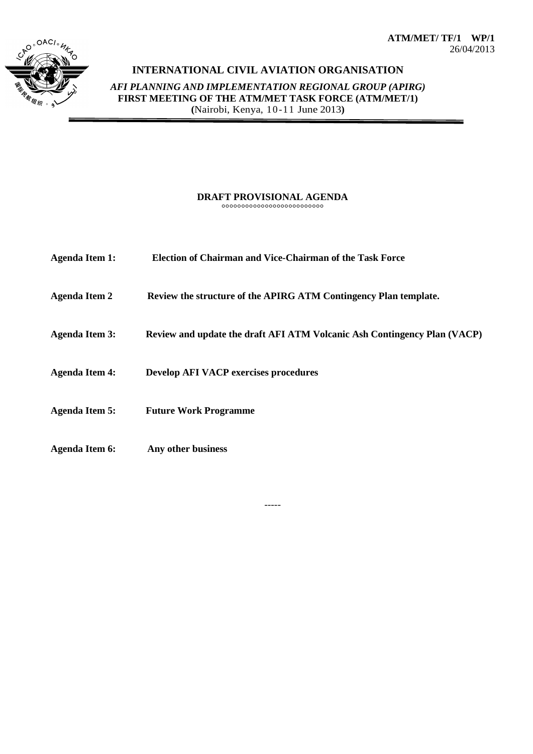**ATM/MET/ TF/1 WP/1** 26/04/2013



## **INTERNATIONAL CIVIL AVIATION ORGANISATION**

*AFI PLANNING AND IMPLEMENTATION REGIONAL GROUP (APIRG)* **FIRST MEETING OF THE ATM/MET TASK FORCE (ATM/MET/1) (**Nairobi, Kenya, 10-11 June 2013**)**

## **DRAFT PROVISIONAL AGENDA** °°°°°°°°°°°°°°°°°°°°°°°°°°

**Agenda Item 1: Election of Chairman and Vice-Chairman of the Task Force Agenda Item 2 Review the structure of the APIRG ATM Contingency Plan template. Agenda Item 3: Review and update the draft AFI ATM Volcanic Ash Contingency Plan (VACP) Agenda Item 4: Develop AFI VACP exercises procedures Agenda Item 5: Future Work Programme Agenda Item 6: Any other business**

-----